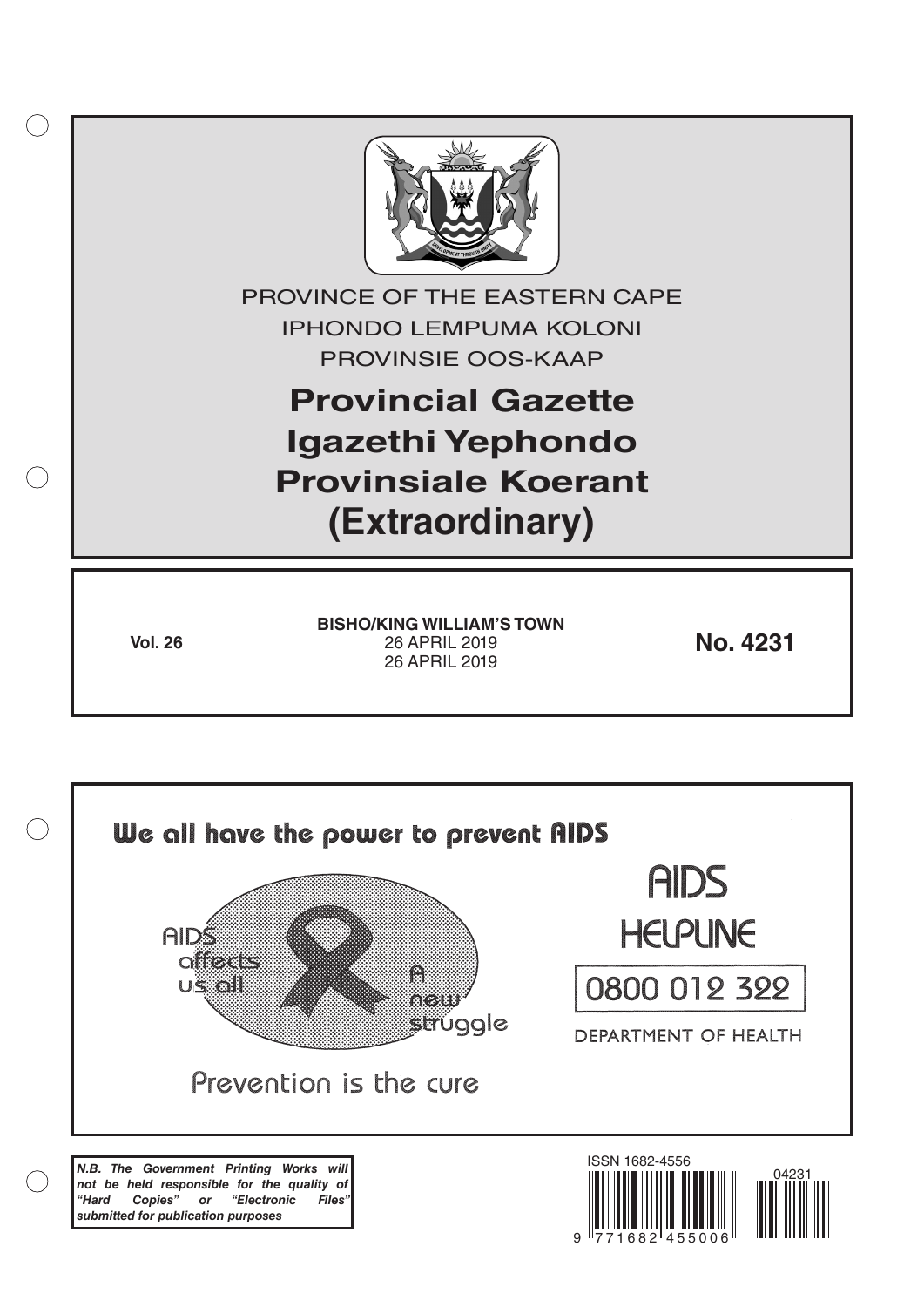

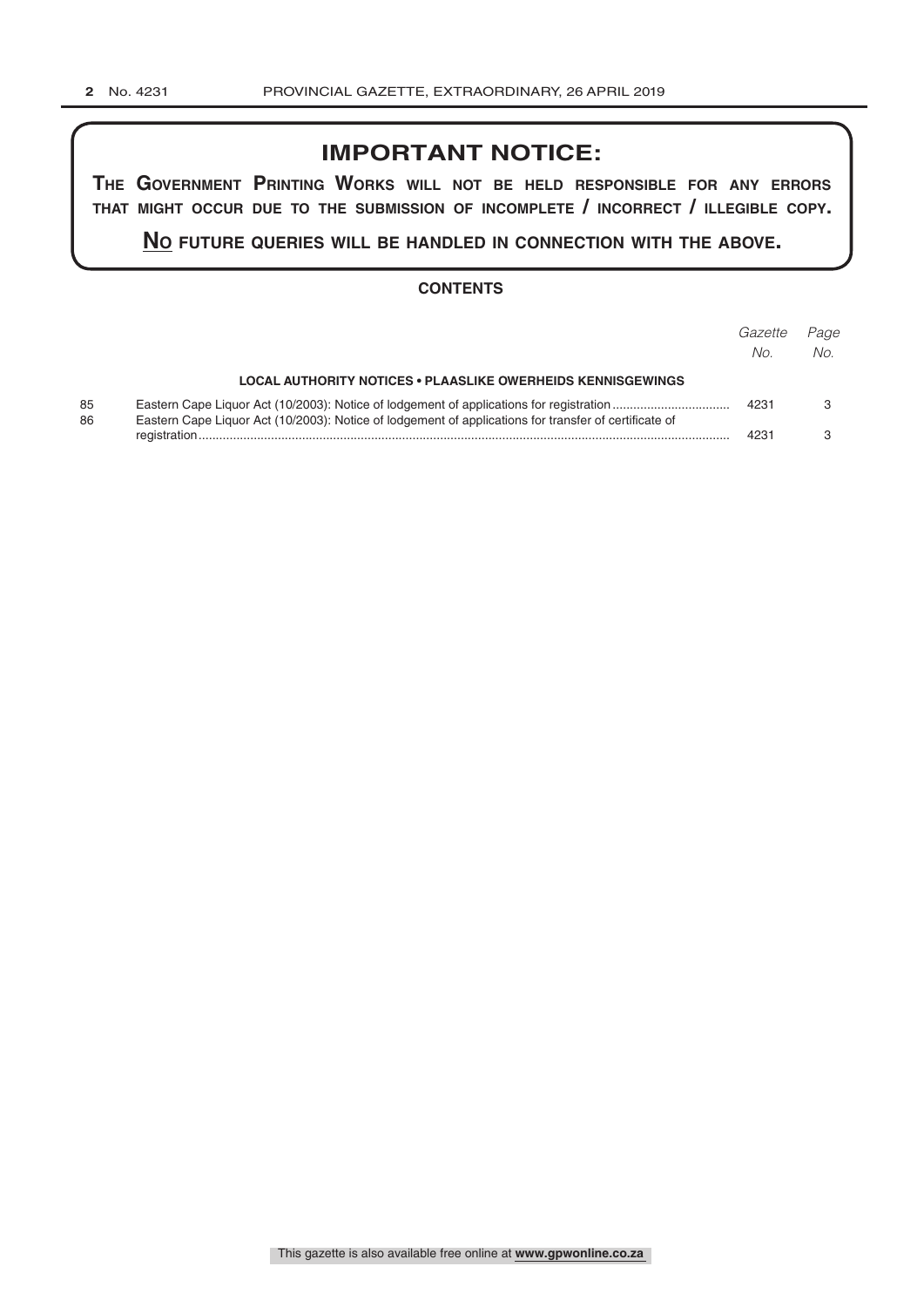# **IMPORTANT NOTICE:**

**The GovernmenT PrinTinG Works Will noT be held resPonsible for any errors ThaT miGhT occur due To The submission of incomPleTe / incorrecT / illeGible coPy.**

**no fuTure queries Will be handled in connecTion WiTh The above.**

## **CONTENTS**

|          |                                                                                                       | Gazette<br>No. | Page<br>No. |
|----------|-------------------------------------------------------------------------------------------------------|----------------|-------------|
|          | <b>LOCAL AUTHORITY NOTICES • PLAASLIKE OWERHEIDS KENNISGEWINGS</b>                                    |                |             |
| 85<br>86 | Eastern Cape Liquor Act (10/2003): Notice of lodgement of applications for transfer of certificate of | 4231           |             |
|          |                                                                                                       | 4231           |             |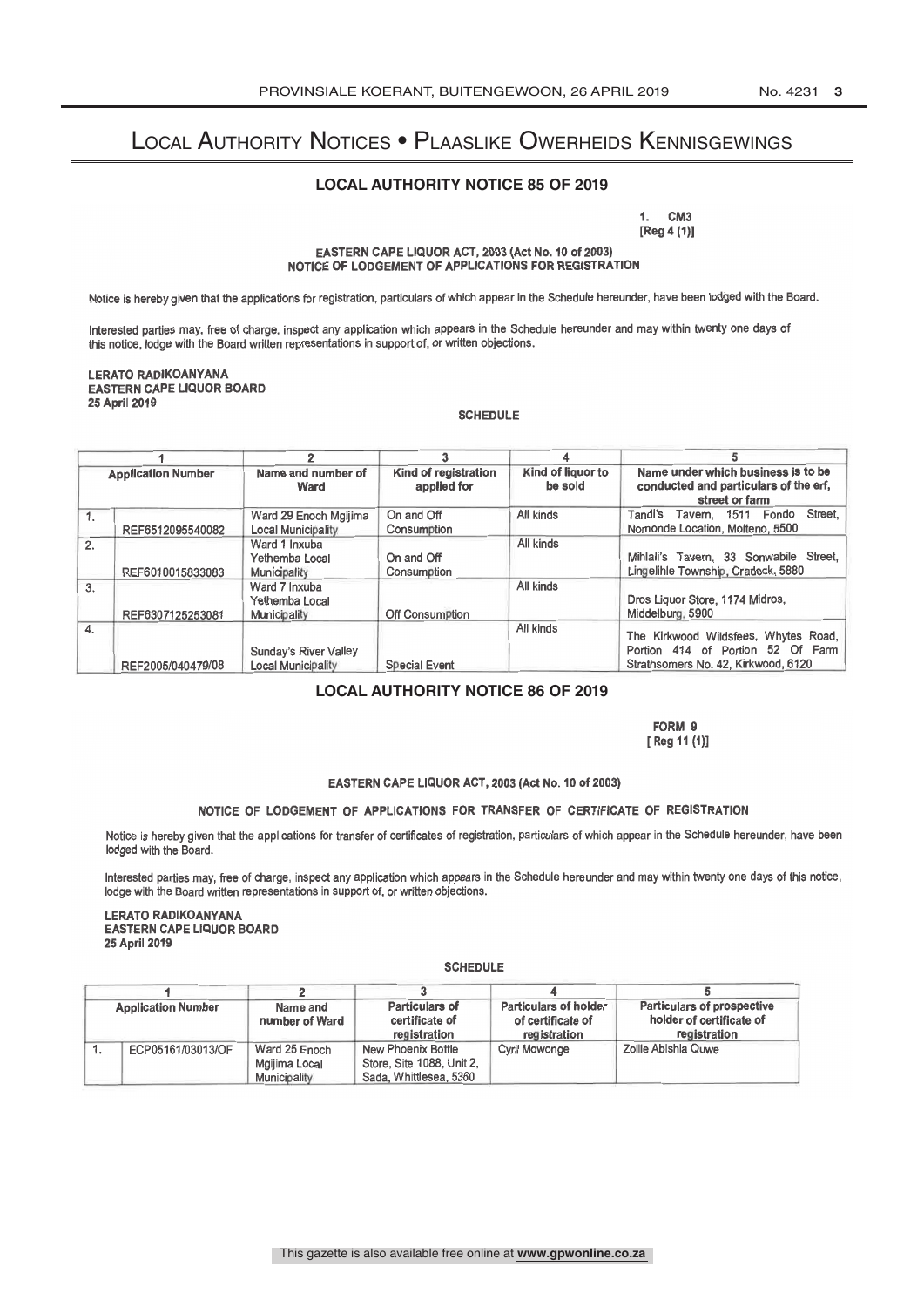# Local Authority Notices • Plaaslike Owerheids Kennisgewings

### **LOCAL AUTHORITY NOTICE 85 OF 2019**

1. CM3<br>-- 1.11. [Reg 4 (1)]

EASTERN CAPE LIQUOR ACT, 2003 (Act No. 10 of 2003) NOTICE OF LODGEMENT OF APPLICATIONS FOR REGISTRATION

Notice is hereby given that the applications for registration, particulars of which appear in the Schedule hereunder, have been lodged with the Board.

Interested parties may, free of charge, inspect any application which appears in the Schedule hereunder and may within twenty one days of this notice, lodge with the Board written representations in support of, or written objections.

LERATO RADIKOANYANA EASTERN CAPE LIQUOR BOARD 25 April 2019

SCHEDULE

| <b>Application Number</b> |                   |                                                    |                                     | Kind of liquor to<br>be sold | Name under which business is to be<br>conducted and particulars of the erf,<br>street or farm                    |  |
|---------------------------|-------------------|----------------------------------------------------|-------------------------------------|------------------------------|------------------------------------------------------------------------------------------------------------------|--|
|                           |                   | Name and number of<br>Ward                         | Kind of registration<br>applied for |                              |                                                                                                                  |  |
| 1.                        | REF6512095540082  | Ward 29 Enoch Mgijima<br><b>Local Municipality</b> | On and Off<br>Consumption           | All kinds                    | Street.<br>Tavern, 1511 Fondo<br>Tandi's<br>Nomonde Location, Molteno, 5500                                      |  |
| 2.                        | REF6010015833083  | Ward 1 Inxuba<br>Yethemba Local<br>Municipality    | On and Off<br>Consumption           | All kinds                    | Mihlali's Tavern. 33 Sonwabile Street.<br>Lingelihle Township, Cradock, 5880                                     |  |
| 3.                        | REF6307125253081  | Ward 7 Inxuba<br>Yethemba Local<br>Municipality    | Off Consumption                     | All kinds                    | Dros Liguor Store, 1174 Midros,<br>Middelburg, 5900                                                              |  |
| 4.                        | REF2005/040479/08 | Sunday's River Valley<br><b>Local Municipality</b> | <b>Special Event</b>                | All kinds                    | The Kirkwood Wildsfees, Whytes Road,<br>Portion 414 of Portion 52 Of Farm<br>Strathsomers No. 42, Kirkwood, 6120 |  |

## **LOCAL AUTHORITY NOTICE 86 OF 2019**

FORM 9 [ Reg 11 (1)]

### EASTERN CAPE LIQUOR ACT, 2003 (Act No. 10 of 2003)

### NOTICE OF LODGEMENT OF APPLICATIONS FOR TRANSFER OF CERTIFICATE OF REGISTRATION

Notice is hereby given that the applications for transfer of certificates of registration, particulars of which appear in the Schedule hereunder, have been lodged with the Board.

Interested parties may, free of charge, inspect any application which appears in the Schedule hereunder and may within twenty one days of this notice, lodge with the Board written representations in support of, or written objections.

### LERATO RADIKOANYANA EASTERN CAPE LIQUOR BOARD 25 April 2019

#### **SCHEDULE**

| <b>Application Number</b> |                   |                                                                       |                           |                                                   |                                                               |
|---------------------------|-------------------|-----------------------------------------------------------------------|---------------------------|---------------------------------------------------|---------------------------------------------------------------|
|                           |                   | <b>Particulars of</b><br>Name and<br>number of Ward<br>certificate of |                           | <b>Particulars of holder</b><br>of certificate of | <b>Particulars of prospective</b><br>holder of certificate of |
|                           |                   |                                                                       | registration              | registration                                      | registration                                                  |
|                           | ECP05161/03013/OF | Ward 25 Enoch                                                         | <b>New Phoenix Bottle</b> | <b>Cyril Mowonge</b>                              | Zolile Abishia Quwe                                           |
|                           |                   | Mgijima Local                                                         | Store, Site 1088, Unit 2, |                                                   |                                                               |
|                           |                   | Municipality                                                          | Sada, Whittlesea, 5360    |                                                   |                                                               |